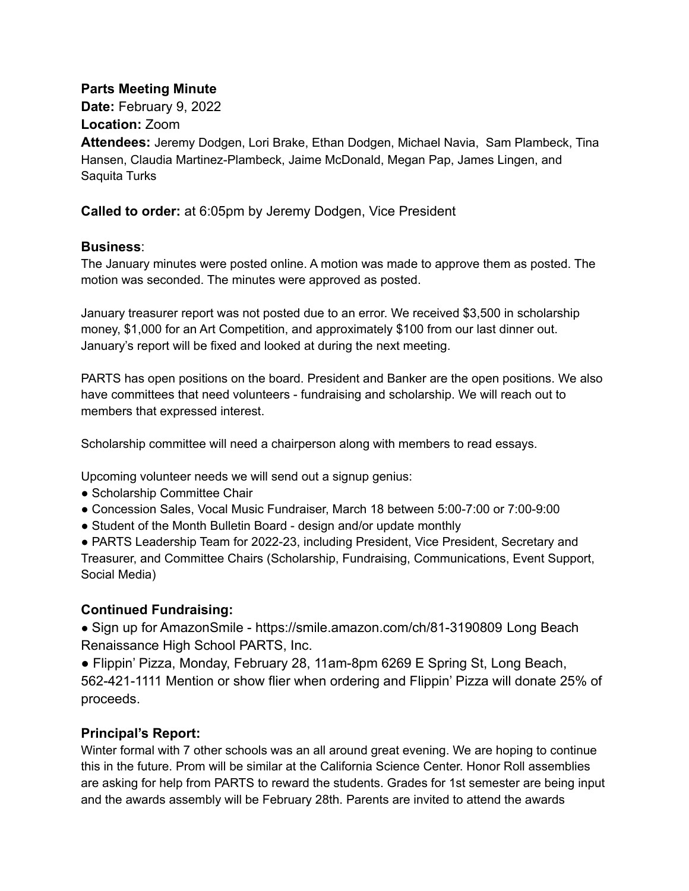#### **Parts Meeting Minute**

**Date:** February 9, 2022

**Location:** Zoom

**Attendees:** Jeremy Dodgen, Lori Brake, Ethan Dodgen, Michael Navia, Sam Plambeck, Tina Hansen, Claudia Martinez-Plambeck, Jaime McDonald, Megan Pap, James Lingen, and Saquita Turks

**Called to order:** at 6:05pm by Jeremy Dodgen, Vice President

### **Business**:

The January minutes were posted online. A motion was made to approve them as posted. The motion was seconded. The minutes were approved as posted.

January treasurer report was not posted due to an error. We received \$3,500 in scholarship money, \$1,000 for an Art Competition, and approximately \$100 from our last dinner out. January's report will be fixed and looked at during the next meeting.

PARTS has open positions on the board. President and Banker are the open positions. We also have committees that need volunteers - fundraising and scholarship. We will reach out to members that expressed interest.

Scholarship committee will need a chairperson along with members to read essays.

Upcoming volunteer needs we will send out a signup genius:

- Scholarship Committee Chair
- Concession Sales, Vocal Music Fundraiser, March 18 between 5:00-7:00 or 7:00-9:00
- Student of the Month Bulletin Board design and/or update monthly

• PARTS Leadership Team for 2022-23, including President, Vice President, Secretary and Treasurer, and Committee Chairs (Scholarship, Fundraising, Communications, Event Support, Social Media)

## **Continued Fundraising:**

● Sign up for AmazonSmile - https://smile.amazon.com/ch/81-3190809 Long Beach Renaissance High School PARTS, Inc.

● Flippin' Pizza, Monday, February 28, 11am-8pm 6269 E Spring St, Long Beach, 562-421-1111 Mention or show flier when ordering and Flippin' Pizza will donate 25% of proceeds.

## **Principal's Report:**

Winter formal with 7 other schools was an all around great evening. We are hoping to continue this in the future. Prom will be similar at the California Science Center. Honor Roll assemblies are asking for help from PARTS to reward the students. Grades for 1st semester are being input and the awards assembly will be February 28th. Parents are invited to attend the awards